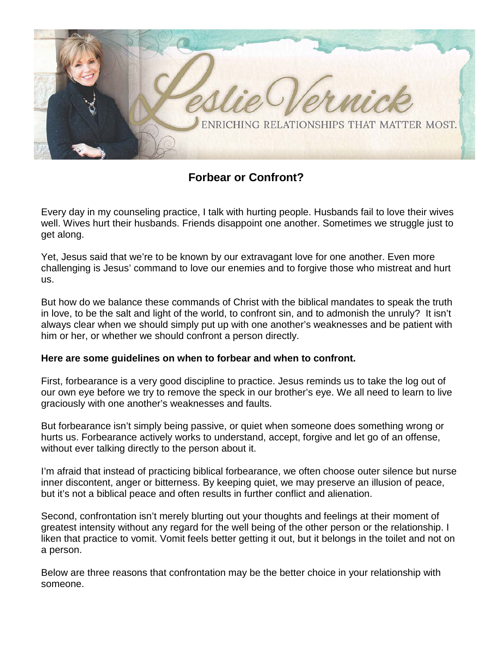

**Forbear or Confront?**

Every day in my counseling practice, I talk with hurting people. Husbands fail to love their wives well. Wives hurt their husbands. Friends disappoint one another. Sometimes we struggle just to get along.

Yet, Jesus said that we're to be known by our extravagant love for one another. Even more challenging is Jesus' command to love our enemies and to forgive those who mistreat and hurt us.

But how do we balance these commands of Christ with the biblical mandates to speak the truth in love, to be the salt and light of the world, to confront sin, and to admonish the unruly? It isn't always clear when we should simply put up with one another's weaknesses and be patient with him or her, or whether we should confront a person directly.

## **Here are some guidelines on when to forbear and when to confront.**

First, forbearance is a very good discipline to practice. Jesus reminds us to take the log out of our own eye before we try to remove the speck in our brother's eye. We all need to learn to live graciously with one another's weaknesses and faults.

But forbearance isn't simply being passive, or quiet when someone does something wrong or hurts us. Forbearance actively works to understand, accept, forgive and let go of an offense, without ever talking directly to the person about it.

I'm afraid that instead of practicing biblical forbearance, we often choose outer silence but nurse inner discontent, anger or bitterness. By keeping quiet, we may preserve an illusion of peace, but it's not a biblical peace and often results in further conflict and alienation.

Second, confrontation isn't merely blurting out your thoughts and feelings at their moment of greatest intensity without any regard for the well being of the other person or the relationship. I liken that practice to vomit. Vomit feels better getting it out, but it belongs in the toilet and not on a person.

Below are three reasons that confrontation may be the better choice in your relationship with someone.